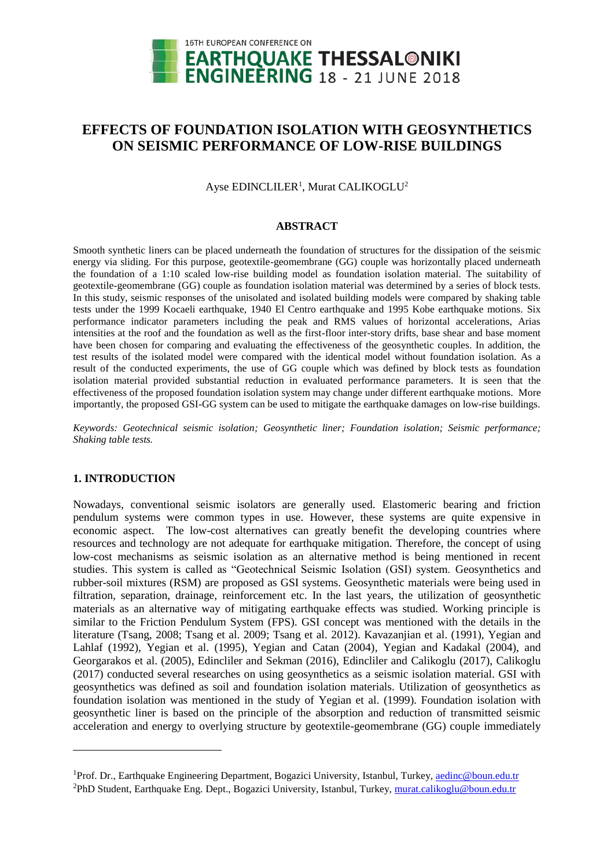

# **EFFECTS OF FOUNDATION ISOLATION WITH GEOSYNTHETICS ON SEISMIC PERFORMANCE OF LOW-RISE BUILDINGS**

Ayse EDINCLILER<sup>1</sup>, Murat CALIKOGLU<sup>2</sup>

#### **ABSTRACT**

Smooth synthetic liners can be placed underneath the foundation of structures for the dissipation of the seismic energy via sliding. For this purpose, geotextile-geomembrane (GG) couple was horizontally placed underneath the foundation of a 1:10 scaled low-rise building model as foundation isolation material. The suitability of geotextile-geomembrane (GG) couple as foundation isolation material was determined by a series of block tests. In this study, seismic responses of the unisolated and isolated building models were compared by shaking table tests under the 1999 Kocaeli earthquake, 1940 El Centro earthquake and 1995 Kobe earthquake motions. Six performance indicator parameters including the peak and RMS values of horizontal accelerations, Arias intensities at the roof and the foundation as well as the first-floor inter-story drifts, base shear and base moment have been chosen for comparing and evaluating the effectiveness of the geosynthetic couples. In addition, the test results of the isolated model were compared with the identical model without foundation isolation. As a result of the conducted experiments, the use of GG couple which was defined by block tests as foundation isolation material provided substantial reduction in evaluated performance parameters. It is seen that the effectiveness of the proposed foundation isolation system may change under different earthquake motions. More importantly, the proposed GSI-GG system can be used to mitigate the earthquake damages on low-rise buildings.

*Keywords: Geotechnical seismic isolation; Geosynthetic liner; Foundation isolation; Seismic performance; Shaking table tests.*

## **1. INTRODUCTION**

l

Nowadays, conventional seismic isolators are generally used. Elastomeric bearing and friction pendulum systems were common types in use. However, these systems are quite expensive in economic aspect. The low-cost alternatives can greatly benefit the developing countries where resources and technology are not adequate for earthquake mitigation. Therefore, the concept of using low-cost mechanisms as seismic isolation as an alternative method is being mentioned in recent studies. This system is called as "Geotechnical Seismic Isolation (GSI) system. Geosynthetics and rubber-soil mixtures (RSM) are proposed as GSI systems. Geosynthetic materials were being used in filtration, separation, drainage, reinforcement etc. In the last years, the utilization of geosynthetic materials as an alternative way of mitigating earthquake effects was studied. Working principle is similar to the Friction Pendulum System (FPS). GSI concept was mentioned with the details in the literature (Tsang, 2008; Tsang et al. 2009; Tsang et al. 2012). Kavazanjian et al. (1991), Yegian and Lahlaf (1992), Yegian et al. (1995), Yegian and Catan (2004), Yegian and Kadakal (2004), and Georgarakos et al. (2005), Edincliler and Sekman (2016), Edincliler and Calikoglu (2017), Calikoglu (2017) conducted several researches on using geosynthetics as a seismic isolation material. GSI with geosynthetics was defined as soil and foundation isolation materials. Utilization of geosynthetics as foundation isolation was mentioned in the study of Yegian et al. (1999). Foundation isolation with geosynthetic liner is based on the principle of the absorption and reduction of transmitted seismic acceleration and energy to overlying structure by geotextile-geomembrane (GG) couple immediately

<sup>&</sup>lt;sup>1</sup>Prof. Dr., Earthquake Engineering Department, Bogazici University, Istanbul, Turkey[, aedinc@boun.edu.tr](mailto:aedinc@boun.edu.tr) <sup>2</sup>PhD Student, Earthquake Eng. Dept., Bogazici University, Istanbul, Turkey[, murat.calikoglu@boun.edu.tr](mailto:murat.calikoglu@boun.edu.tr)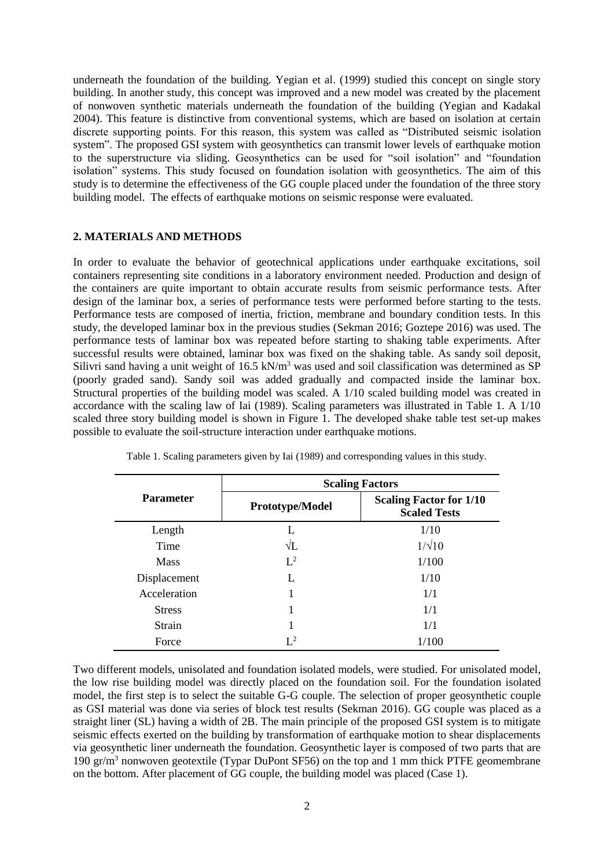underneath the foundation of the building. Yegian et al. (1999) studied this concept on single story building. In another study, this concept was improved and a new model was created by the placement of nonwoven synthetic materials underneath the foundation of the building (Yegian and Kadakal 2004). This feature is distinctive from conventional systems, which are based on isolation at certain discrete supporting points. For this reason, this system was called as "Distributed seismic isolation system". The proposed GSI system with geosynthetics can transmit lower levels of earthquake motion to the superstructure via sliding. Geosynthetics can be used for "soil isolation" and "foundation isolation" systems. This study focused on foundation isolation with geosynthetics. The aim of this study is to determine the effectiveness of the GG couple placed under the foundation of the three story building model. The effects of earthquake motions on seismic response were evaluated.

#### **2. MATERIALS AND METHODS**

In order to evaluate the behavior of geotechnical applications under earthquake excitations, soil containers representing site conditions in a laboratory environment needed. Production and design of the containers are quite important to obtain accurate results from seismic performance tests. After design of the laminar box, a series of performance tests were performed before starting to the tests. Performance tests are composed of inertia, friction, membrane and boundary condition tests. In this study, the developed laminar box in the previous studies (Sekman 2016; Goztepe 2016) was used. The performance tests of laminar box was repeated before starting to shaking table experiments. After successful results were obtained, laminar box was fixed on the shaking table. As sandy soil deposit, Silivri sand having a unit weight of 16.5 kN/m<sup>3</sup> was used and soil classification was determined as SP (poorly graded sand). Sandy soil was added gradually and compacted inside the laminar box. Structural properties of the building model was scaled. A 1/10 scaled building model was created in accordance with the scaling law of Iai (1989). Scaling parameters was illustrated in Table 1. A 1/10 scaled three story building model is shown in Figure 1. The developed shake table test set-up makes possible to evaluate the soil-structure interaction under earthquake motions.

|                  | <b>Scaling Factors</b> |                                                       |  |  |
|------------------|------------------------|-------------------------------------------------------|--|--|
| <b>Parameter</b> | <b>Prototype/Model</b> | <b>Scaling Factor for 1/10</b><br><b>Scaled Tests</b> |  |  |
| Length           |                        | 1/10                                                  |  |  |
| Time             | $\sqrt{L}$             | $1/\sqrt{10}$                                         |  |  |
| <b>Mass</b>      | $L^2$                  | 1/100                                                 |  |  |
| Displacement     | L                      | 1/10                                                  |  |  |
| Acceleration     | 1                      | 1/1                                                   |  |  |
| <b>Stress</b>    | 1                      | 1/1                                                   |  |  |
| Strain           | 1                      | 1/1                                                   |  |  |
| Force            | $L^2$                  | 1/100                                                 |  |  |

Table 1. Scaling parameters given by Iai (1989) and corresponding values in this study.

Two different models, unisolated and foundation isolated models, were studied. For unisolated model, the low rise building model was directly placed on the foundation soil. For the foundation isolated model, the first step is to select the suitable G-G couple. The selection of proper geosynthetic couple as GSI material was done via series of block test results (Sekman 2016). GG couple was placed as a straight liner (SL) having a width of 2B. The main principle of the proposed GSI system is to mitigate seismic effects exerted on the building by transformation of earthquake motion to shear displacements via geosynthetic liner underneath the foundation. Geosynthetic layer is composed of two parts that are 190  $gr/m<sup>3</sup>$  nonwoven geotextile (Typar DuPont SF56) on the top and 1 mm thick PTFE geomembrane on the bottom. After placement of GG couple, the building model was placed (Case 1).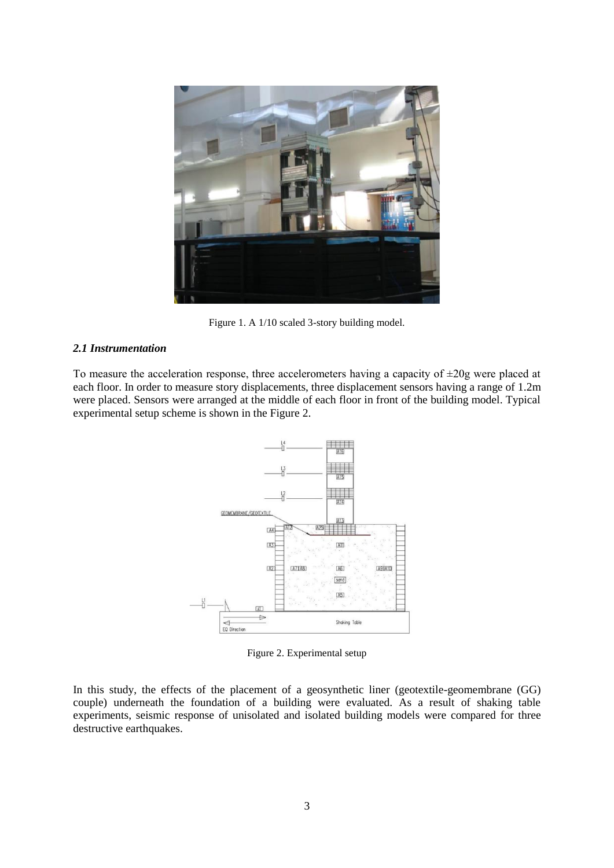

Figure 1. A 1/10 scaled 3-story building model.

# *2.1 Instrumentation*

To measure the acceleration response, three accelerometers having a capacity of  $\pm 20g$  were placed at each floor. In order to measure story displacements, three displacement sensors having a range of 1.2m were placed. Sensors were arranged at the middle of each floor in front of the building model. Typical experimental setup scheme is shown in the Figure 2.



Figure 2. Experimental setup

In this study, the effects of the placement of a geosynthetic liner (geotextile-geomembrane (GG) couple) underneath the foundation of a building were evaluated. As a result of shaking table experiments, seismic response of unisolated and isolated building models were compared for three destructive earthquakes.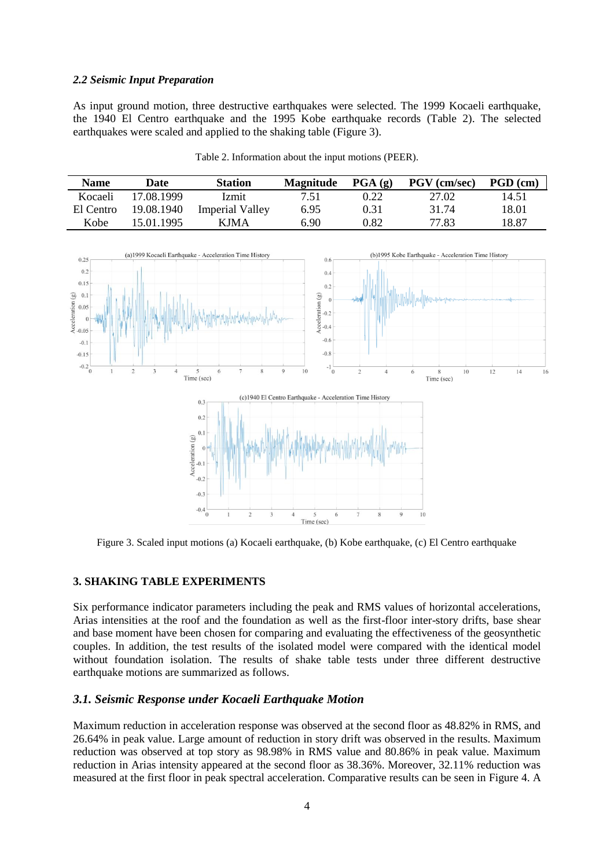### *2.2 Seismic Input Preparation*

As input ground motion, three destructive earthquakes were selected. The 1999 Kocaeli earthquake, the 1940 El Centro earthquake and the 1995 Kobe earthquake records (Table 2). The selected earthquakes were scaled and applied to the shaking table (Figure 3).

Table 2. Information about the input motions (PEER).

| <b>Name</b> | Date       | <b>Station</b>  | <b>Magnitude</b> | $\textbf{PGA}(\textbf{g})$ | <b>PGV</b> (cm/sec) | $PGD$ (cm) |
|-------------|------------|-----------------|------------------|----------------------------|---------------------|------------|
| Kocaeli     | 17.08.1999 | <b>Izmit</b>    | 7.51             | 0.22                       | 27.02               | 14.51      |
| El Centro   | 19.08.1940 | Imperial Valley | 6.95             | 0.31                       | 31.74               | 18.01      |
| Kobe        | 15.01.1995 | <b>KJMA</b>     | 6.90             | 0.82                       | 77.83               | 18.87      |



Figure 3. Scaled input motions (a) Kocaeli earthquake, (b) Kobe earthquake, (c) El Centro earthquake

### **3. SHAKING TABLE EXPERIMENTS**

Six performance indicator parameters including the peak and RMS values of horizontal accelerations, Arias intensities at the roof and the foundation as well as the first-floor inter-story drifts, base shear and base moment have been chosen for comparing and evaluating the effectiveness of the geosynthetic couples. In addition, the test results of the isolated model were compared with the identical model without foundation isolation. The results of shake table tests under three different destructive earthquake motions are summarized as follows.

## *3.1. Seismic Response under Kocaeli Earthquake Motion*

Maximum reduction in acceleration response was observed at the second floor as 48.82% in RMS, and 26.64% in peak value. Large amount of reduction in story drift was observed in the results. Maximum reduction was observed at top story as 98.98% in RMS value and 80.86% in peak value. Maximum reduction in Arias intensity appeared at the second floor as 38.36%. Moreover, 32.11% reduction was measured at the first floor in peak spectral acceleration. Comparative results can be seen in Figure 4. A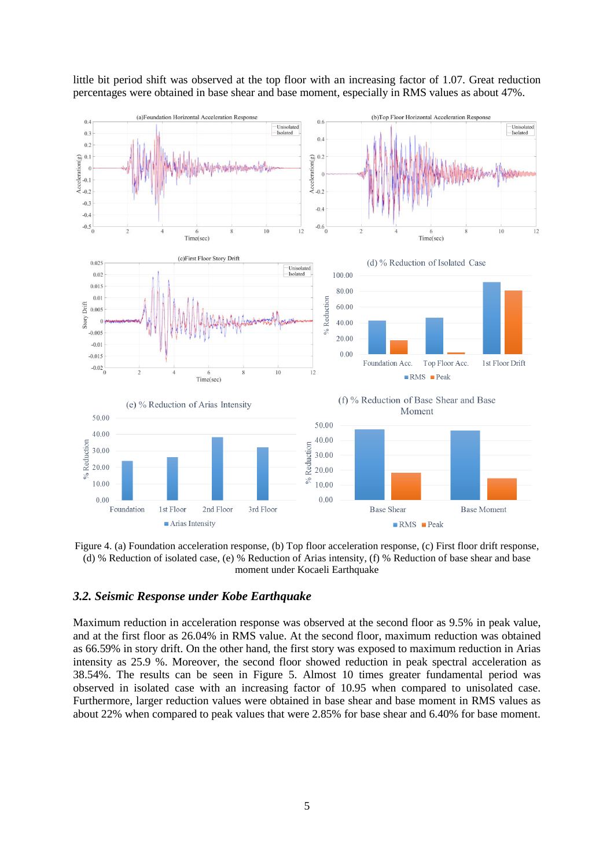

little bit period shift was observed at the top floor with an increasing factor of 1.07. Great reduction percentages were obtained in base shear and base moment, especially in RMS values as about 47%.

Figure 4. (a) Foundation acceleration response, (b) Top floor acceleration response, (c) First floor drift response, (d) % Reduction of isolated case, (e) % Reduction of Arias intensity, (f) % Reduction of base shear and base moment under Kocaeli Earthquake

# *3.2. Seismic Response under Kobe Earthquake*

Maximum reduction in acceleration response was observed at the second floor as 9.5% in peak value, and at the first floor as 26.04% in RMS value. At the second floor, maximum reduction was obtained as 66.59% in story drift. On the other hand, the first story was exposed to maximum reduction in Arias intensity as 25.9 %. Moreover, the second floor showed reduction in peak spectral acceleration as 38.54%. The results can be seen in Figure 5. Almost 10 times greater fundamental period was observed in isolated case with an increasing factor of 10.95 when compared to unisolated case. Furthermore, larger reduction values were obtained in base shear and base moment in RMS values as about 22% when compared to peak values that were 2.85% for base shear and 6.40% for base moment.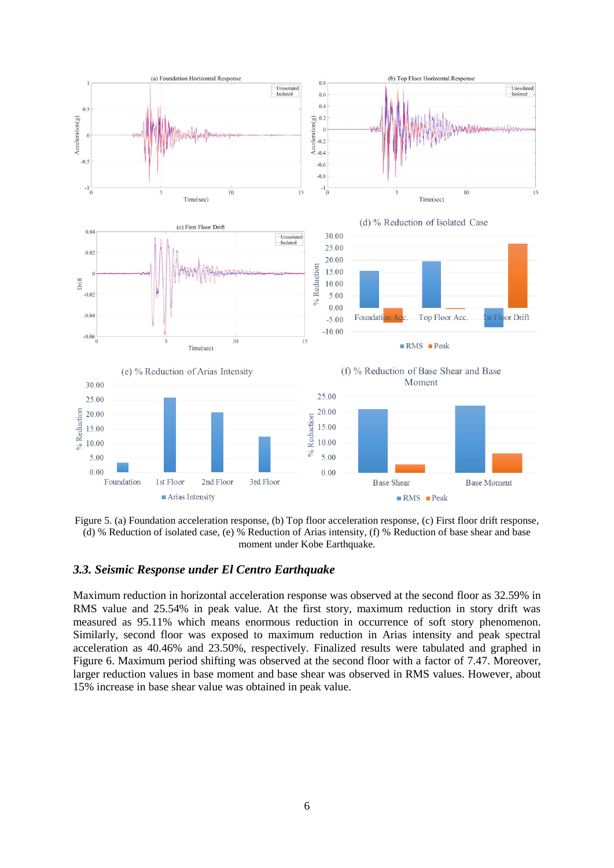

Figure 5. (a) Foundation acceleration response, (b) Top floor acceleration response, (c) First floor drift response, (d) % Reduction of isolated case, (e) % Reduction of Arias intensity, (f) % Reduction of base shear and base moment under Kobe Earthquake.

# *3.3. Seismic Response under El Centro Earthquake*

Maximum reduction in horizontal acceleration response was observed at the second floor as 32.59% in RMS value and 25.54% in peak value. At the first story, maximum reduction in story drift was measured as 95.11% which means enormous reduction in occurrence of soft story phenomenon. Similarly, second floor was exposed to maximum reduction in Arias intensity and peak spectral acceleration as 40.46% and 23.50%, respectively. Finalized results were tabulated and graphed in Figure 6. Maximum period shifting was observed at the second floor with a factor of 7.47. Moreover, larger reduction values in base moment and base shear was observed in RMS values. However, about 15% increase in base shear value was obtained in peak value.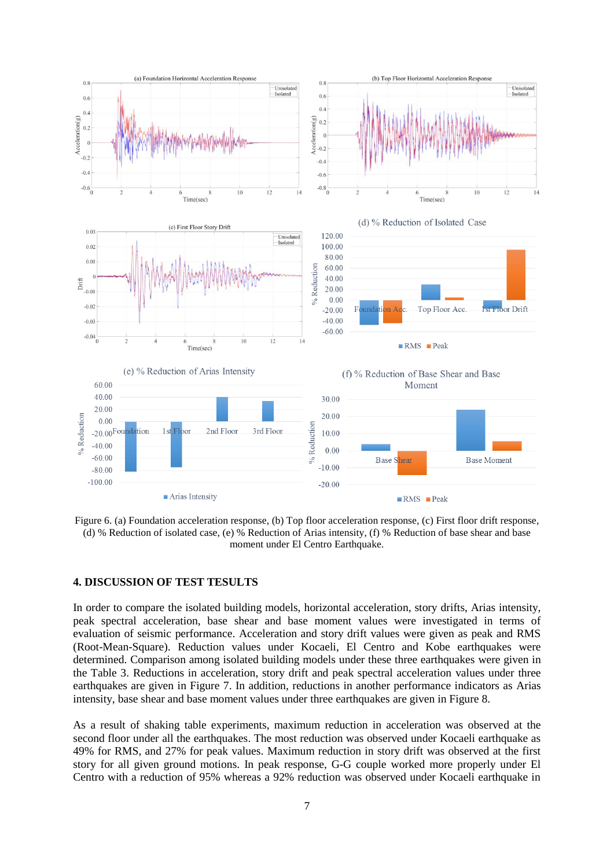

Figure 6. (a) Foundation acceleration response, (b) Top floor acceleration response, (c) First floor drift response, (d) % Reduction of isolated case, (e) % Reduction of Arias intensity, (f) % Reduction of base shear and base moment under El Centro Earthquake.

### **4. DISCUSSION OF TEST TESULTS**

In order to compare the isolated building models, horizontal acceleration, story drifts, Arias intensity, peak spectral acceleration, base shear and base moment values were investigated in terms of evaluation of seismic performance. Acceleration and story drift values were given as peak and RMS (Root-Mean-Square). Reduction values under Kocaeli, El Centro and Kobe earthquakes were determined. Comparison among isolated building models under these three earthquakes were given in the Table 3. Reductions in acceleration, story drift and peak spectral acceleration values under three earthquakes are given in Figure 7. In addition, reductions in another performance indicators as Arias intensity, base shear and base moment values under three earthquakes are given in Figure 8.

As a result of shaking table experiments, maximum reduction in acceleration was observed at the second floor under all the earthquakes. The most reduction was observed under Kocaeli earthquake as 49% for RMS, and 27% for peak values. Maximum reduction in story drift was observed at the first story for all given ground motions. In peak response, G-G couple worked more properly under El Centro with a reduction of 95% whereas a 92% reduction was observed under Kocaeli earthquake in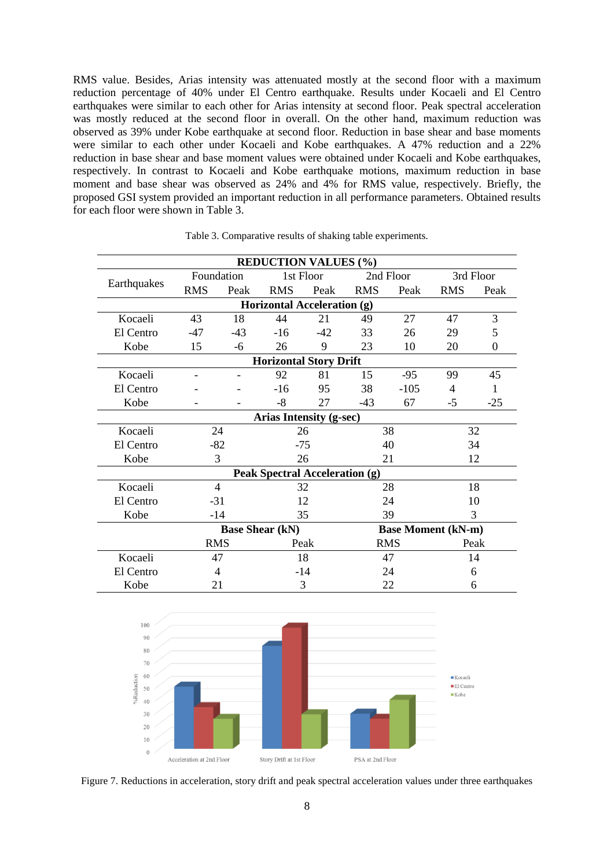RMS value. Besides, Arias intensity was attenuated mostly at the second floor with a maximum reduction percentage of 40% under El Centro earthquake. Results under Kocaeli and El Centro earthquakes were similar to each other for Arias intensity at second floor. Peak spectral acceleration was mostly reduced at the second floor in overall. On the other hand, maximum reduction was observed as 39% under Kobe earthquake at second floor. Reduction in base shear and base moments were similar to each other under Kocaeli and Kobe earthquakes. A 47% reduction and a 22% reduction in base shear and base moment values were obtained under Kocaeli and Kobe earthquakes, respectively. In contrast to Kocaeli and Kobe earthquake motions, maximum reduction in base moment and base shear was observed as 24% and 4% for RMS value, respectively. Briefly, the proposed GSI system provided an important reduction in all performance parameters. Obtained results for each floor were shown in Table 3.

| <b>REDUCTION VALUES (%)</b>                         |                                |       |            |       |            |        |            |                  |  |  |
|-----------------------------------------------------|--------------------------------|-------|------------|-------|------------|--------|------------|------------------|--|--|
| Earthquakes                                         | Foundation                     |       | 1st Floor  |       | 2nd Floor  |        | 3rd Floor  |                  |  |  |
|                                                     | <b>RMS</b>                     | Peak  | <b>RMS</b> | Peak  | <b>RMS</b> | Peak   | <b>RMS</b> | Peak             |  |  |
| Horizontal Acceleration (g)                         |                                |       |            |       |            |        |            |                  |  |  |
| Kocaeli                                             | 43                             | 18    | 44         | 21    | 49         | 27     | 47         | 3                |  |  |
| El Centro                                           | -47                            | $-43$ | $-16$      | $-42$ | 33         | 26     | 29         | 5                |  |  |
| Kobe                                                | 15                             | -6    | 26         | 9     | 23         | 10     | 20         | $\boldsymbol{0}$ |  |  |
| <b>Horizontal Story Drift</b>                       |                                |       |            |       |            |        |            |                  |  |  |
| Kocaeli                                             |                                |       | 92         | 81    | 15         | $-95$  | 99         | 45               |  |  |
| El Centro                                           |                                |       | $-16$      | 95    | 38         | $-105$ | 4          | 1                |  |  |
| Kobe                                                |                                |       | $-8$       | 27    | $-43$      | 67     | $-5$       | $-25$            |  |  |
|                                                     | <b>Arias Intensity (g-sec)</b> |       |            |       |            |        |            |                  |  |  |
| Kocaeli                                             | 24                             |       | 26         |       | 38         |        | 32         |                  |  |  |
| El Centro                                           | $-82$                          |       | $-75$      |       | 40         |        | 34         |                  |  |  |
| Kobe                                                | 3                              |       | 26         |       | 21         |        | 12         |                  |  |  |
| <b>Peak Spectral Acceleration (g)</b>               |                                |       |            |       |            |        |            |                  |  |  |
| Kocaeli                                             | 4                              |       | 32         |       | 28         |        | 18         |                  |  |  |
| El Centro                                           | $-31$                          |       | 12         |       | 24         |        | 10         |                  |  |  |
| Kobe                                                | $-14$                          |       | 35         |       | 39         |        | 3          |                  |  |  |
| <b>Base Moment (kN-m)</b><br><b>Base Shear (kN)</b> |                                |       |            |       |            |        |            |                  |  |  |
|                                                     | <b>RMS</b>                     |       | Peak       |       | <b>RMS</b> |        | Peak       |                  |  |  |
| Kocaeli                                             | 47                             |       | 18         |       | 47         |        | 14         |                  |  |  |
| El Centro                                           | 4                              |       | $-14$      |       | 24         |        | 6          |                  |  |  |
| Kobe                                                | 21                             |       | 3          |       | 22         |        | 6          |                  |  |  |

Table 3. Comparative results of shaking table experiments.



Figure 7. Reductions in acceleration, story drift and peak spectral acceleration values under three earthquakes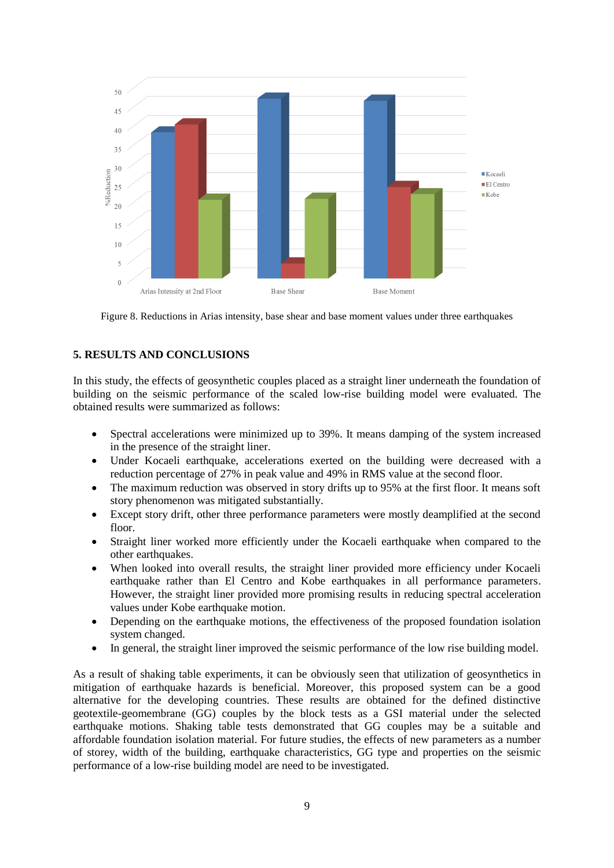

Figure 8. Reductions in Arias intensity, base shear and base moment values under three earthquakes

# **5. RESULTS AND CONCLUSIONS**

In this study, the effects of geosynthetic couples placed as a straight liner underneath the foundation of building on the seismic performance of the scaled low-rise building model were evaluated. The obtained results were summarized as follows:

- Spectral accelerations were minimized up to 39%. It means damping of the system increased in the presence of the straight liner.
- Under Kocaeli earthquake, accelerations exerted on the building were decreased with a reduction percentage of 27% in peak value and 49% in RMS value at the second floor.
- The maximum reduction was observed in story drifts up to 95% at the first floor. It means soft story phenomenon was mitigated substantially.
- Except story drift, other three performance parameters were mostly deamplified at the second floor.
- Straight liner worked more efficiently under the Kocaeli earthquake when compared to the other earthquakes.
- When looked into overall results, the straight liner provided more efficiency under Kocaeli earthquake rather than El Centro and Kobe earthquakes in all performance parameters. However, the straight liner provided more promising results in reducing spectral acceleration values under Kobe earthquake motion.
- Depending on the earthquake motions, the effectiveness of the proposed foundation isolation system changed.
- In general, the straight liner improved the seismic performance of the low rise building model.

As a result of shaking table experiments, it can be obviously seen that utilization of geosynthetics in mitigation of earthquake hazards is beneficial. Moreover, this proposed system can be a good alternative for the developing countries. These results are obtained for the defined distinctive geotextile-geomembrane (GG) couples by the block tests as a GSI material under the selected earthquake motions. Shaking table tests demonstrated that GG couples may be a suitable and affordable foundation isolation material. For future studies, the effects of new parameters as a number of storey, width of the building, earthquake characteristics, GG type and properties on the seismic performance of a low-rise building model are need to be investigated.